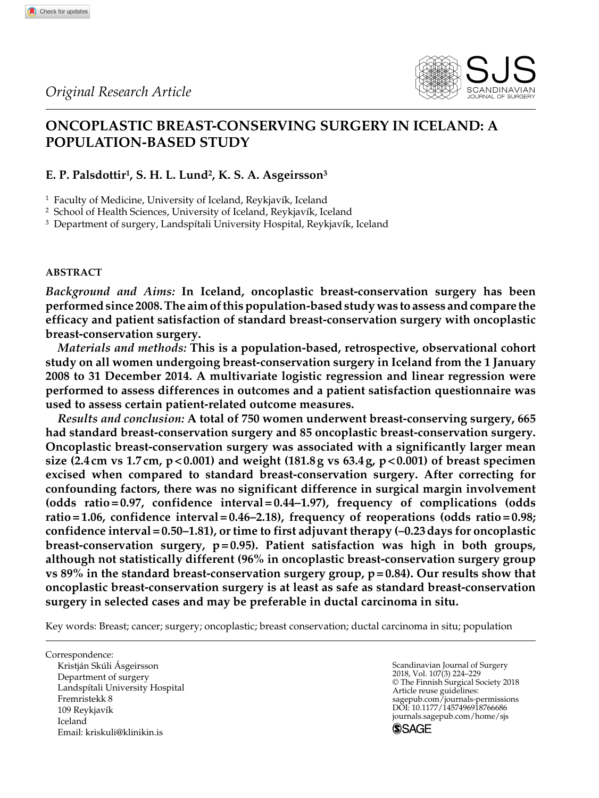

# **Oncoplastic breast-conserving surgery in iceland: A population-based study**

## **E. P. Palsdottir1, S. H. L. Lund2, K. S. A. Asgeirsson3**

<sup>1</sup> Faculty of Medicine, University of Iceland, Reykjavík, Iceland

<sup>2</sup> School of Health Sciences, University of Iceland, Reykjavík, Iceland

<sup>3</sup> Department of surgery, Landspítali University Hospital, Reykjavík, Iceland

## **Abstract**

**766** Check for updates

*Background and Aims:* **In Iceland, oncoplastic breast-conservation surgery has been performed since 2008. The aim of this population-based study was to assess and compare the efficacy and patient satisfaction of standard breast-conservation surgery with oncoplastic breast-conservation surgery.**

*Materials and methods:* **This is a population-based, retrospective, observational cohort study on all women undergoing breast-conservation surgery in Iceland from the 1 January 2008 to 31 December 2014. A multivariate logistic regression and linear regression were performed to assess differences in outcomes and a patient satisfaction questionnaire was used to assess certain patient-related outcome measures.**

*Results and conclusion:* **A total of 750 women underwent breast-conserving surgery, 665 had standard breast-conservation surgery and 85 oncoplastic breast-conservation surgery. Oncoplastic breast-conservation surgery was associated with a significantly larger mean size (2.4 cm vs 1.7 cm, p<0.001) and weight (181.8g vs 63.4g, p<0.001) of breast specimen excised when compared to standard breast-conservation surgery. After correcting for confounding factors, there was no significant difference in surgical margin involvement (odds ratio=0.97, confidence interval=0.44–1.97), frequency of complications (odds ratio=1.06, confidence interval=0.46–2.18), frequency of reoperations (odds ratio=0.98; confidence interval=0.50–1.81), or time to first adjuvant therapy (–0.23days for oncoplastic breast-conservation surgery, p=0.95). Patient satisfaction was high in both groups, although not statistically different (96% in oncoplastic breast-conservation surgery group vs 89% in the standard breast-conservation surgery group, p=0.84). Our results show that oncoplastic breast-conservation surgery is at least as safe as standard breast-conservation surgery in selected cases and may be preferable in ductal carcinoma in situ.**

Key words: Breast; cancer; surgery; oncoplastic; breast conservation; ductal carcinoma in situ; population

Correspondence: Kristján Skúli Ásgeirsson Department of surgery Landspítali University Hospital Fremristekk 8 109 Reykjavík Iceland Email: [kriskuli@klinikin.is](mailto:kriskuli@klinikin.is)

Scandinavian Journal of Surgery 2018, Vol. 107(3) 224–229 © The Finnish Surgical Society 2018 Article reuse guidelines: [sagepub.com/journals-permissions](https://uk.sagepub.com/en-gb/journals-permissions)<br>DOI: 10.1177/1457496918766686 DOI: 10.1177/1457496918766686 [journals.sagepub.com/home/sjs](https://journals.sagepub.com/home/sjs) **SSAGE**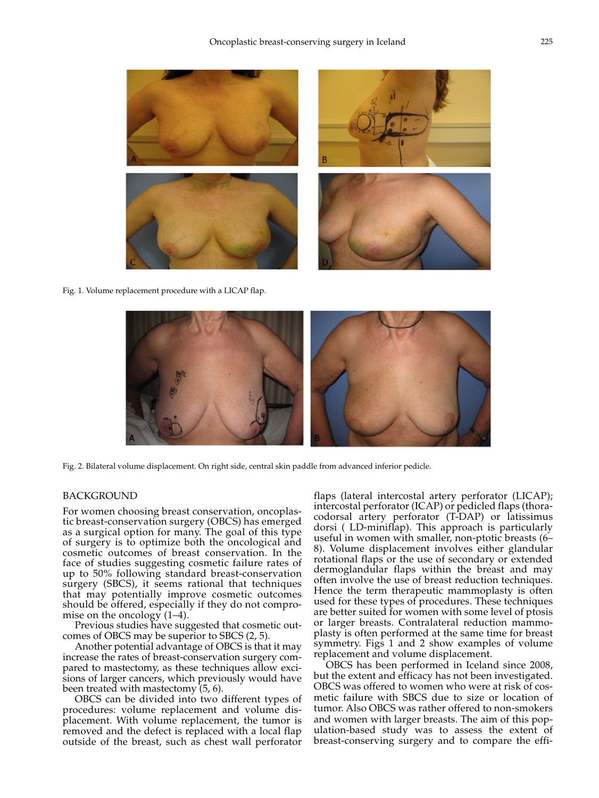

Fig. 1. Volume replacement procedure with a LICAP flap.



Fig. 2. Bilateral volume displacement. On right side, central skin paddle from advanced inferior pedicle.

#### **BACKGROUND**

For women choosing breast conservation, oncoplastic breast-conservation surgery (OBCS) has emerged as a surgical option for many. The goal of this type of surgery is to optimize both the oncological and cosmetic outcomes of breast conservation. In the face of studies suggesting cosmetic failure rates of up to 50% following standard breast-conservation surgery (SBCS), it seems rational that techniques that may potentially improve cosmetic outcomes should be offered, especially if they do not compromise on the oncology  $(1-4)$ .

Previous studies have suggested that cosmetic outcomes of OBCS may be superior to SBCS (2, 5).

Another potential advantage of OBCS is that it may increase the rates of breast-conservation surgery compared to mastectomy, as these techniques allow excisions of larger cancers, which previously would have been treated with mastectomy (5, 6).

OBCS can be divided into two different types of procedures: volume replacement and volume displacement. With volume replacement, the tumor is removed and the defect is replaced with a local flap outside of the breast, such as chest wall perforator flaps (lateral intercostal artery perforator (LICAP); intercostal perforator (ICAP) or pedicled flaps (thoracodorsal artery perforator (T-DAP) or latissimus dorsi ( LD-miniflap). This approach is particularly useful in women with smaller, non-ptotic breasts (6– 8). Volume displacement involves either glandular rotational flaps or the use of secondary or extended dermoglandular flaps within the breast and may often involve the use of breast reduction techniques. Hence the term therapeutic mammoplasty is often used for these types of procedures. These techniques are better suited for women with some level of ptosis or larger breasts. Contralateral reduction mammoplasty is often performed at the same time for breast symmetry. Figs 1 and 2 show examples of volume replacement and volume displacement.

OBCS has been performed in Iceland since 2008, but the extent and efficacy has not been investigated. OBCS was offered to women who were at risk of cosmetic failure with SBCS due to size or location of tumor. Also OBCS was rather offered to non-smokers and women with larger breasts. The aim of this population-based study was to assess the extent of breast-conserving surgery and to compare the effi-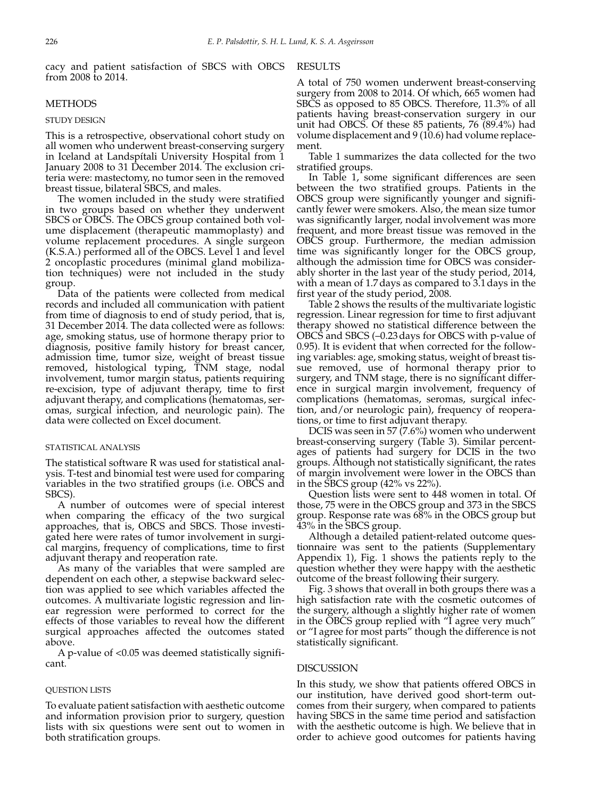cacy and patient satisfaction of SBCS with OBCS RE from 2008 to 2014.

### **METHODS**

#### STUDY DESIGN

This is a retrospective, observational cohort study on all women who underwent breast-conserving surgery in Iceland at Landspítali University Hospital from 1 January 2008 to 31 December 2014. The exclusion criteria were: mastectomy, no tumor seen in the removed breast tissue, bilateral SBCS, and males.

The women included in the study were stratified in two groups based on whether they underwent SBCS or OBCS. The OBCS group contained both volume displacement (therapeutic mammoplasty) and volume replacement procedures. A single surgeon (K.S.A.) performed all of the OBCS. Level 1 and level 2 oncoplastic procedures (minimal gland mobilization techniques) were not included in the study group.

Data of the patients were collected from medical records and included all communication with patient from time of diagnosis to end of study period, that is, 31 December 2014. The data collected were as follows: age, smoking status, use of hormone therapy prior to diagnosis, positive family history for breast cancer, admission time, tumor size, weight of breast tissue removed, histological typing, TNM stage, nodal involvement, tumor margin status, patients requiring re-excision, type of adjuvant therapy, time to first adjuvant therapy, and complications (hematomas, seromas, surgical infection, and neurologic pain). The data were collected on Excel document.

#### Statistical Analysis

The statistical software R was used for statistical analysis. T-test and binomial test were used for comparing variables in the two stratified groups (i.e. OBCS and SBCS).

A number of outcomes were of special interest when comparing the efficacy of the two surgical approaches, that is, OBCS and SBCS. Those investigated here were rates of tumor involvement in surgical margins, frequency of complications, time to first adjuvant therapy and reoperation rate.

As many of the variables that were sampled are dependent on each other, a stepwise backward selection was applied to see which variables affected the outcomes. A multivariate logistic regression and linear regression were performed to correct for the effects of those variables to reveal how the different surgical approaches affected the outcomes stated above.

A p-value of <0.05 was deemed statistically significant.

#### Question Lists

To evaluate patient satisfaction with aesthetic outcome and information provision prior to surgery, question lists with six questions were sent out to women in both stratification groups.

A total of 750 women underwent breast-conserving surgery from 2008 to 2014. Of which, 665 women had SBCS as opposed to 85 OBCS. Therefore, 11.3% of all patients having breast-conservation surgery in our unit had OBCS. Of these 85 patients, 76 (89.4%) had volume displacement and  $9(10.6)$  had volume replacement.

Table 1 summarizes the data collected for the two stratified groups.

In Table 1, some significant differences are seen between the two stratified groups. Patients in the OBCS group were significantly younger and significantly fewer were smokers. Also, the mean size tumor was significantly larger, nodal involvement was more frequent, and more breast tissue was removed in the OBCS group. Furthermore, the median admission time was significantly longer for the OBCS group, although the admission time for OBCS was considerably shorter in the last year of the study period, 2014, with a mean of 1.7days as compared to 3.1days in the first year of the study period, 2008.

Table 2 shows the results of the multivariate logistic regression. Linear regression for time to first adjuvant therapy showed no statistical difference between the OBCS and SBCS (–0.23days for OBCS with p-value of 0.95). It is evident that when corrected for the following variables: age, smoking status, weight of breast tissue removed, use of hormonal therapy prior to surgery, and TNM stage, there is no significant difference in surgical margin involvement, frequency of complications (hematomas, seromas, surgical infection, and/or neurologic pain), frequency of reoperations, or time to first adjuvant therapy.

DCIS was seen in 57 (7.6%) women who underwent breast-conserving surgery (Table 3). Similar percentages of patients had surgery for DCIS in the two groups. Although not statistically significant, the rates of margin involvement were lower in the OBCS than in the SBCS group (42% vs 22%).

Question lists were sent to 448 women in total. Of those, 75 were in the OBCS group and 373 in the SBCS group. Response rate was 68% in the OBCS group but 43% in the SBCS group.

Although a detailed patient-related outcome questionnaire was sent to the patients (Supplementary Appendix 1), Fig. 1 shows the patients reply to the question whether they were happy with the aesthetic outcome of the breast following their surgery.

Fig. 3 shows that overall in both groups there was a high satisfaction rate with the cosmetic outcomes of the surgery, although a slightly higher rate of women in the OBCS group replied with "I agree very much" or "I agree for most parts" though the difference is not statistically significant.

#### **DISCUSSION**

In this study, we show that patients offered OBCS in our institution, have derived good short-term outcomes from their surgery, when compared to patients having SBCS in the same time period and satisfaction with the aesthetic outcome is high. We believe that in order to achieve good outcomes for patients having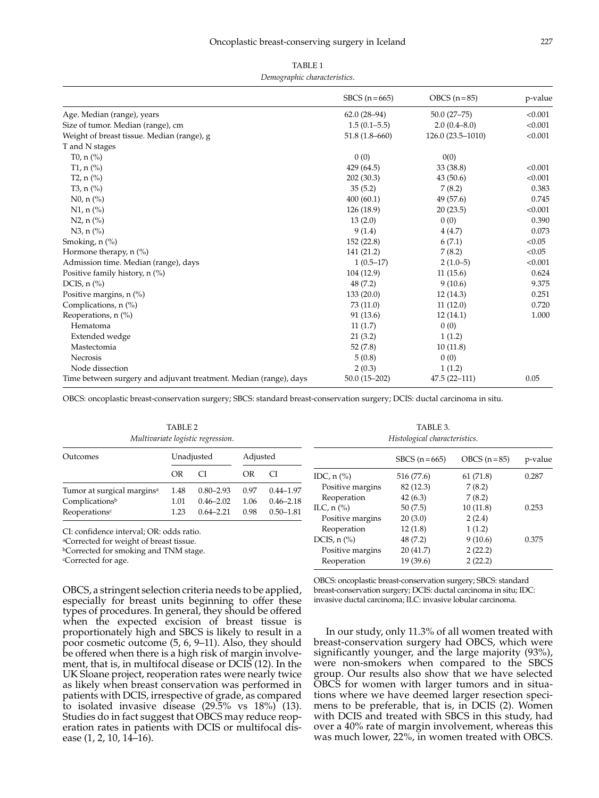| TABLE <sub>1</sub>           |
|------------------------------|
| Demographic characteristics. |

|                                                                   | SBCS $(n=665)$    | OBCS $(n=85)$      | p-value |
|-------------------------------------------------------------------|-------------------|--------------------|---------|
| Age. Median (range), years                                        | $62.0(28-94)$     | $50.0(27 - 75)$    | < 0.001 |
| Size of tumor. Median (range), cm                                 | $1.5(0.1 - 5.5)$  | $2.0(0.4 - 8.0)$   | < 0.001 |
| Weight of breast tissue. Median (range), g                        | $51.8(1.8 - 660)$ | $126.0(23.5-1010)$ | < 0.001 |
| T and N stages                                                    |                   |                    |         |
| T <sub>0</sub> , $n$ (%)                                          | 0(0)              | 0(0)               |         |
| T <sub>1</sub> , $n$ (%)                                          | 429 (64.5)        | 33 (38.8)          | < 0.001 |
| T2, $n$ (%)                                                       | 202(30.3)         | 43(50.6)           | < 0.001 |
| T3, $n$ (%)                                                       | 35(5.2)           | 7(8.2)             | 0.383   |
| $N0, n$ (%)                                                       | 400(60.1)         | 49 (57.6)          | 0.745   |
| $N1, n$ (%)                                                       | 126 (18.9)        | 20(23.5)           | < 0.001 |
| $N2, n$ (%)                                                       | 13(2.0)           | 0(0)               | 0.390   |
| $N3, n$ (%)                                                       | 9(1.4)            | 4(4.7)             | 0.073   |
| Smoking, $n$ $%$                                                  | 152 (22.8)        | 6(7.1)             | < 0.05  |
| Hormone therapy, n (%)                                            | 141 (21.2)        | 7(8.2)             | < 0.05  |
| Admission time. Median (range), days                              | $1(0.5-17)$       | $2(1.0-5)$         | < 0.001 |
| Positive family history, n (%)                                    | 104 (12.9)        | 11(15.6)           | 0.624   |
| DCIS, $n$ $%$                                                     | 48 (7.2)          | 9(10.6)            | 9.375   |
| Positive margins, n (%)                                           | 133(20.0)         | 12(14.3)           | 0.251   |
| Complications, $n$ (%)                                            | 73 (11.0)         | 11(12.0)           | 0.720   |
| Reoperations, $n$ (%)                                             | 91 (13.6)         | 12(14.1)           | 1.000   |
| Hematoma                                                          | 11(1.7)           | 0(0)               |         |
| Extended wedge                                                    | 21(3.2)           | 1(1.2)             |         |
| Mastectomia                                                       | 52(7.8)           | 10(11.8)           |         |
| <b>Necrosis</b>                                                   | 5(0.8)            | 0(0)               |         |
| Node dissection                                                   | 2(0.3)            | 1(1.2)             |         |
| Time between surgery and adjuvant treatment. Median (range), days | $50.0(15-202)$    | $47.5(22 - 111)$   | 0.05    |

OBCS: oncoplastic breast-conservation surgery; SBCS: standard breast-conservation surgery; DCIS: ductal carcinoma in situ.

|                                                                      | TABLE <sub>2</sub> | Multivariate logistic regression. |              |                                |                     |
|----------------------------------------------------------------------|--------------------|-----------------------------------|--------------|--------------------------------|---------------------|
| Outcomes                                                             | Unadjusted         |                                   | Adjusted     |                                |                     |
|                                                                      | OR                 | CI                                | OR           | СI                             | IDC, $n$ (%)        |
| Tumor at surgical margins <sup>a</sup><br>Complications <sup>b</sup> | 1.48<br>1.01       | $0.80 - 2.93$<br>$0.46 - 2.02$    | 0.97<br>1.06 | $0.44 - 1.97$<br>$0.46 - 2.18$ | Positive<br>Reopera |
| Reoperations <sup>c</sup>                                            | 1.23               | $0.64 - 2.21$                     | 0.98         | $0.50 - 1.81$                  | ILC, $n$ (%)        |

CI: confidence interval; OR: odds ratio.

aCorrected for weight of breast tissue.

**bCorrected for smoking and TNM stage.** 

cCorrected for age.

OBCS, a stringent selection criteria needs to be applied, especially for breast units beginning to offer these types of procedures. In general, they should be offered when the expected excision of breast tissue is proportionately high and SBCS is likely to result in a poor cosmetic outcome (5, 6, 9-11). Also, they should be offered when there is a high risk of margin involvement, that is, in multifocal disease or DCIS (12). In the UK Sloane project, reoperation rates were nearly twice as likely when breast conservation was performed in patients with DCIS, irrespective of grade, as compared to isolated invasive disease  $(29.5\% \text{ vs } 18\%)^1$  (13). Studies do in fact suggest that OBCS may reduce reoperation rates in patients with DCIS or multifocal disease (1, 2, 10, 14–16).

Table 3. *Histological characteristics*.

|                                       | $BCCS (n=665)$ | OBCS $(n=85)$ | p-value |
|---------------------------------------|----------------|---------------|---------|
| IDC, $n$ $\left(\frac{\%}{\%}\right)$ | 516 (77.6)     | 61 (71.8)     | 0.287   |
| Positive margins                      | 82 (12.3)      | 7(8.2)        |         |
| Reoperation                           | 42(6.3)        | 7(8.2)        |         |
| ILC, $n$ $\left(\frac{\%}{\%}\right)$ | 50(7.5)        | 10(11.8)      | 0.253   |
| Positive margins                      | 20(3.0)        | 2(2.4)        |         |
| Reoperation                           | 12(1.8)        | 1(1.2)        |         |
| DCIS, $n$ $\left(\frac{9}{6}\right)$  | 48 (7.2)       | 9(10.6)       | 0.375   |
| Positive margins                      | 20 (41.7)      | 2(22.2)       |         |
| Reoperation                           | 19 (39.6)      | 2(22.2)       |         |
|                                       |                |               |         |

OBCS: oncoplastic breast-conservation surgery; SBCS: standard breast-conservation surgery; DCIS: ductal carcinoma in situ; IDC: invasive ductal carcinoma; ILC: invasive lobular carcinoma.

In our study, only 11.3% of all women treated with breast-conservation surgery had OBCS, which were significantly younger, and the large majority (93%), were non-smokers when compared to the SBCS group. Our results also show that we have selected OBCS for women with larger tumors and in situations where we have deemed larger resection specimens to be preferable, that is, in DCIS (2). Women with DCIS and treated with SBCS in this study, had over a 40% rate of margin involvement, whereas this was much lower, 22%, in women treated with OBCS.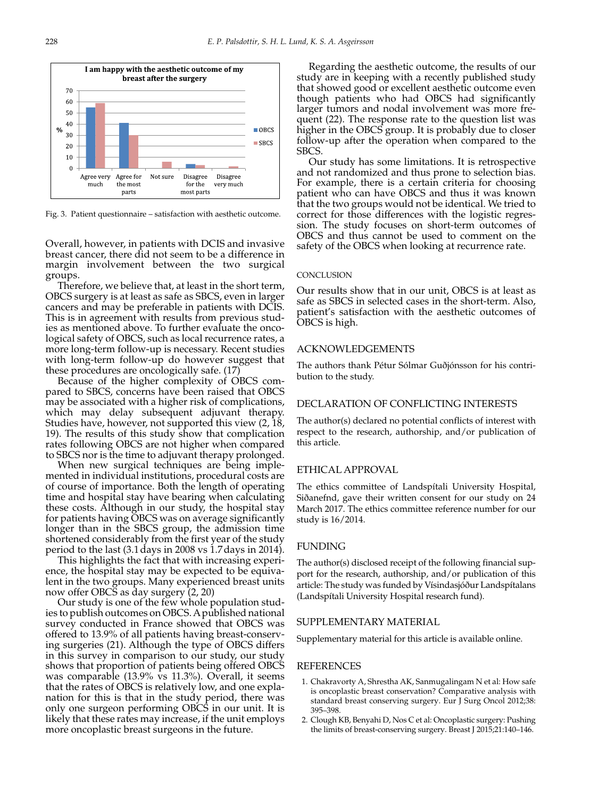

Fig. 3. Patient questionnaire – satisfaction with aesthetic outcome.

Overall, however, in patients with DCIS and invasive breast cancer, there did not seem to be a difference in margin involvement between the two surgical groups.

Therefore, we believe that, at least in the short term, OBCS surgery is at least as safe as SBCS, even in larger cancers and may be preferable in patients with DCIS. This is in agreement with results from previous studies as mentioned above. To further evaluate the oncological safety of OBCS, such as local recurrence rates, a more long-term follow-up is necessary. Recent studies with long-term follow-up do however suggest that these procedures are oncologically safe. (17)

Because of the higher complexity of OBCS compared to SBCS, concerns have been raised that OBCS may be associated with a higher risk of complications, which may delay subsequent adjuvant therapy. Studies have, however, not supported this view (2, 18, 19). The results of this study show that complication rates following OBCS are not higher when compared to SBCS nor is the time to adjuvant therapy prolonged.

When new surgical techniques are being implemented in individual institutions, procedural costs are of course of importance. Both the length of operating time and hospital stay have bearing when calculating these costs. Although in our study, the hospital stay for patients having OBCS was on average significantly longer than in the SBCS group, the admission time shortened considerably from the first year of the study period to the last (3.1days in 2008 vs 1.7days in 2014).

This highlights the fact that with increasing experience, the hospital stay may be expected to be equivalent in the two groups. Many experienced breast units now offer OBCS as day surgery (2, 20)

Our study is one of the few whole population studies to publish outcomes on OBCS. A published national survey conducted in France showed that OBCS was offered to 13.9% of all patients having breast-conserving surgeries (21). Although the type of OBCS differs in this survey in comparison to our study, our study shows that proportion of patients being offered OBCS was comparable (13.9% vs 11.3%). Overall, it seems that the rates of OBCS is relatively low, and one explanation for this is that in the study period, there was only one surgeon performing OBCS in our unit. It is likely that these rates may increase, if the unit employs more oncoplastic breast surgeons in the future.

Regarding the aesthetic outcome, the results of our study are in keeping with a recently published study that showed good or excellent aesthetic outcome even though patients who had OBCS had significantly larger tumors and nodal involvement was more frequent (22). The response rate to the question list was higher in the OBCS group. It is probably due to closer follow-up after the operation when compared to the SBCS.

Our study has some limitations. It is retrospective and not randomized and thus prone to selection bias. For example, there is a certain criteria for choosing patient who can have OBCS and thus it was known that the two groups would not be identical. We tried to correct for those differences with the logistic regression. The study focuses on short-term outcomes of OBCS and thus cannot be used to comment on the safety of the OBCS when looking at recurrence rate.

#### **CONCLUSION**

Our results show that in our unit, OBCS is at least as safe as SBCS in selected cases in the short-term. Also, patient's satisfaction with the aesthetic outcomes of OBCS is high.

### Acknowledgements

The authors thank Pétur Sólmar Guðjónsson for his contribution to the study.

#### Declaration of Conflicting Interests

The author(s) declared no potential conflicts of interest with respect to the research, authorship, and/or publication of this article.

#### Ethical Approval

The ethics committee of Landspítali University Hospital, Siðanefnd, gave their written consent for our study on 24 March 2017. The ethics committee reference number for our study is 16/2014.

#### **FUNDING**

The author(s) disclosed receipt of the following financial support for the research, authorship, and/or publication of this article: The study was funded by Vísindasjóður Landspítalans (Landspítali University Hospital research fund).

#### SUPPLEMENTARY MATERIAL

Supplementary material for this article is available online.

#### **REFERENCES**

- 1. Chakravorty A, Shrestha AK, Sanmugalingam N et al: How safe is oncoplastic breast conservation? Comparative analysis with standard breast conserving surgery. Eur J Surg Oncol 2012;38: 395–398.
- 2. Clough KB, Benyahi D, Nos C et al: Oncoplastic surgery: Pushing the limits of breast-conserving surgery. Breast J 2015;21:140–146.